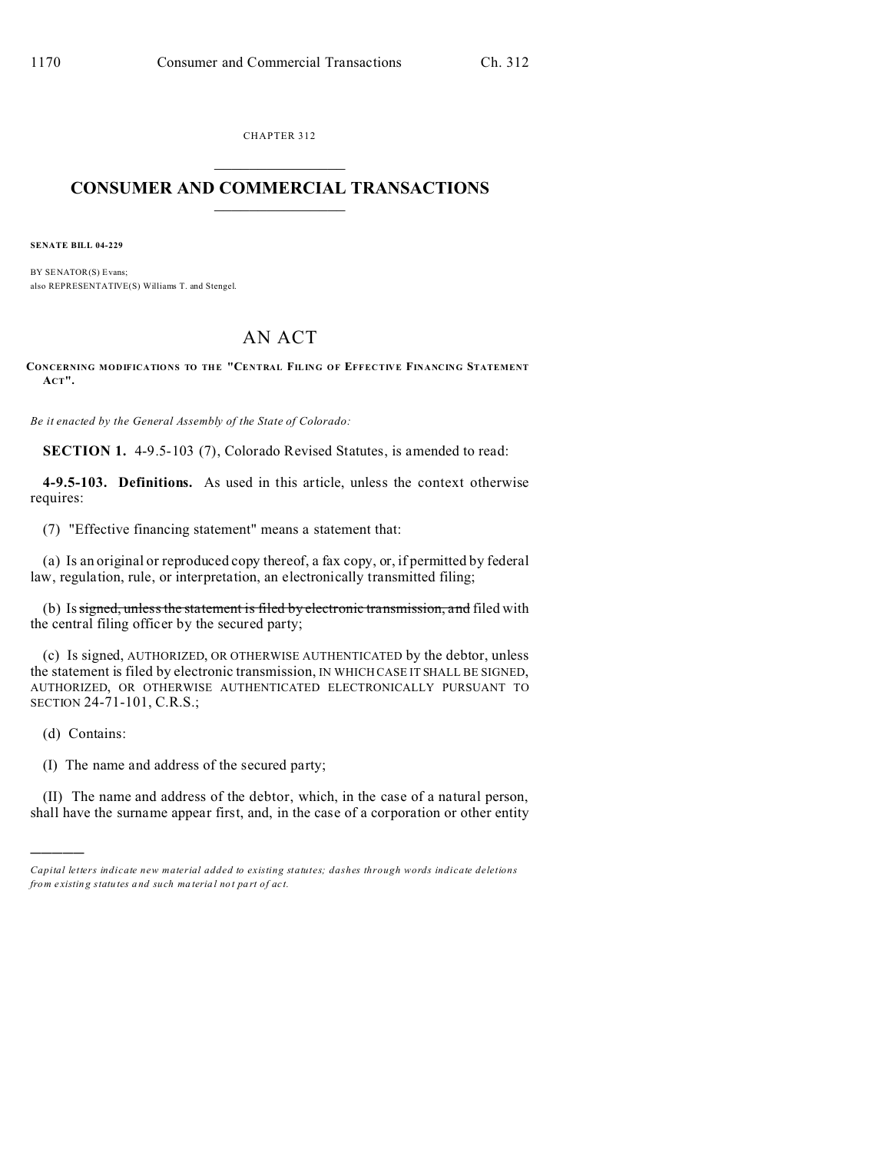CHAPTER 312  $\overline{\phantom{a}}$  , where  $\overline{\phantom{a}}$ 

## **CONSUMER AND COMMERCIAL TRANSACTIONS**  $\_$   $\_$   $\_$   $\_$   $\_$   $\_$   $\_$   $\_$

**SENATE BILL 04-229**

BY SENATOR(S) Evans; also REPRESENTATIVE(S) Williams T. and Stengel.

## AN ACT

**CONCERNING MODIFICATIONS TO THE "CENTRAL FILING OF EFFECTIVE FINANCING STATEMENT ACT".**

*Be it enacted by the General Assembly of the State of Colorado:*

**SECTION 1.** 4-9.5-103 (7), Colorado Revised Statutes, is amended to read:

**4-9.5-103. Definitions.** As used in this article, unless the context otherwise requires:

(7) "Effective financing statement" means a statement that:

(a) Is an original or reproduced copy thereof, a fax copy, or, if permitted by federal law, regulation, rule, or interpretation, an electronically transmitted filing;

(b) Is signed, unless the statement is filed by electronic transmission, and filed with the central filing officer by the secured party;

(c) Is signed, AUTHORIZED, OR OTHERWISE AUTHENTICATED by the debtor, unless the statement is filed by electronic transmission, IN WHICH CASE IT SHALL BE SIGNED, AUTHORIZED, OR OTHERWISE AUTHENTICATED ELECTRONICALLY PURSUANT TO SECTION 24-71-101, C.R.S.;

(d) Contains:

)))))

(I) The name and address of the secured party;

(II) The name and address of the debtor, which, in the case of a natural person, shall have the surname appear first, and, in the case of a corporation or other entity

*Capital letters indicate new material added to existing statutes; dashes through words indicate deletions from e xistin g statu tes a nd such ma teria l no t pa rt of ac t.*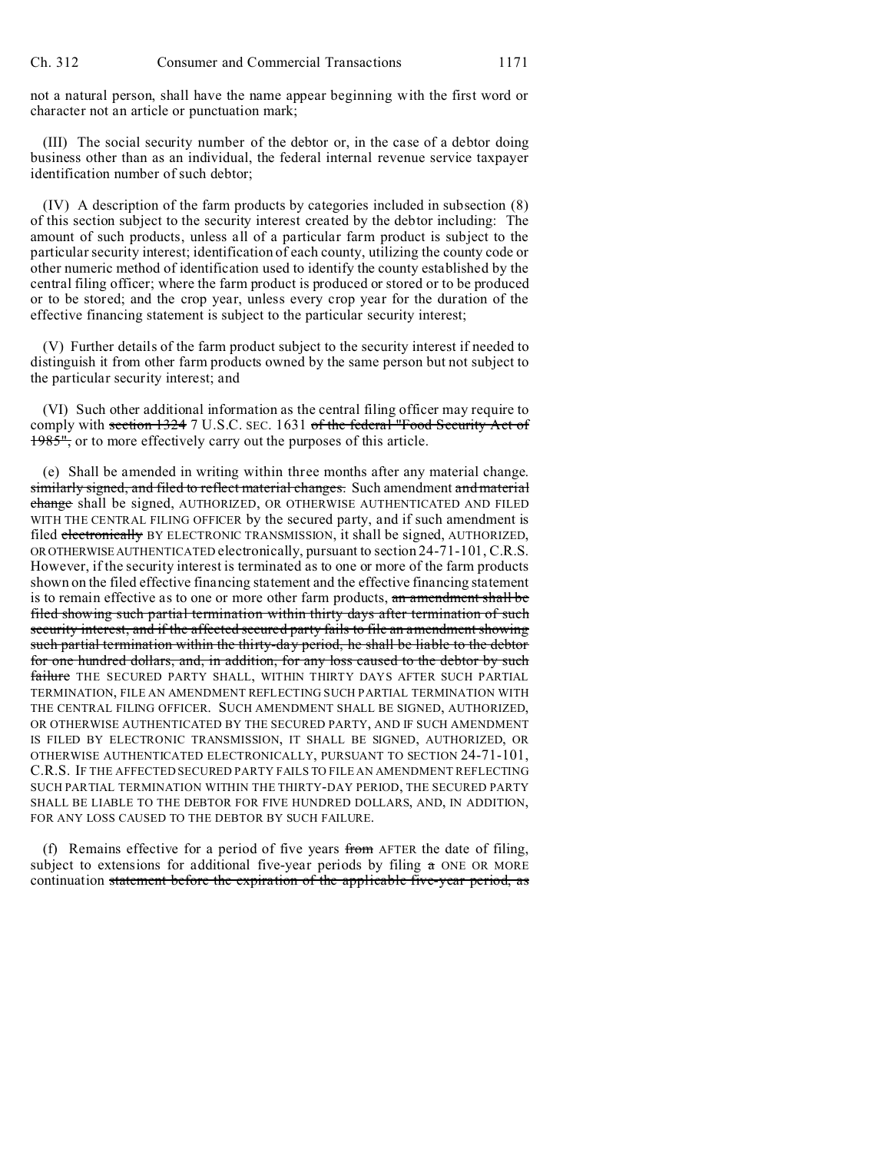not a natural person, shall have the name appear beginning with the first word or character not an article or punctuation mark;

(III) The social security number of the debtor or, in the case of a debtor doing business other than as an individual, the federal internal revenue service taxpayer identification number of such debtor;

(IV) A description of the farm products by categories included in subsection (8) of this section subject to the security interest created by the debtor including: The amount of such products, unless all of a particular farm product is subject to the particular security interest; identification of each county, utilizing the county code or other numeric method of identification used to identify the county established by the central filing officer; where the farm product is produced or stored or to be produced or to be stored; and the crop year, unless every crop year for the duration of the effective financing statement is subject to the particular security interest;

(V) Further details of the farm product subject to the security interest if needed to distinguish it from other farm products owned by the same person but not subject to the particular security interest; and

(VI) Such other additional information as the central filing officer may require to comply with section 1324 7 U.S.C. SEC. 1631 of the federal "Food Security Act of 1985", or to more effectively carry out the purposes of this article.

(e) Shall be amended in writing within three months after any material change. similarly signed, and filed to reflect material changes. Such amendment and material change shall be signed, AUTHORIZED, OR OTHERWISE AUTHENTICATED AND FILED WITH THE CENTRAL FILING OFFICER by the secured party, and if such amendment is filed electronically BY ELECTRONIC TRANSMISSION, it shall be signed, AUTHORIZED, OR OTHERWISE AUTHENTICATED electronically, pursuant to section 24-71-101, C.R.S. However, if the security interest is terminated as to one or more of the farm products shown on the filed effective financing statement and the effective financing statement is to remain effective as to one or more other farm products, an amendment shall be filed showing such partial termination within thirty days after termination of such security interest, and if the affected secured party fails to file an amendment showing such partial termination within the thirty-day period, he shall be liable to the debtor for one hundred dollars, and, in addition, for any loss caused to the debtor by such failure THE SECURED PARTY SHALL, WITHIN THIRTY DAYS AFTER SUCH PARTIAL TERMINATION, FILE AN AMENDMENT REFLECTING SUCH PARTIAL TERMINATION WITH THE CENTRAL FILING OFFICER. SUCH AMENDMENT SHALL BE SIGNED, AUTHORIZED, OR OTHERWISE AUTHENTICATED BY THE SECURED PARTY, AND IF SUCH AMENDMENT IS FILED BY ELECTRONIC TRANSMISSION, IT SHALL BE SIGNED, AUTHORIZED, OR OTHERWISE AUTHENTICATED ELECTRONICALLY, PURSUANT TO SECTION 24-71-101, C.R.S. IF THE AFFECTED SECURED PARTY FAILS TO FILE AN AMENDMENT REFLECTING SUCH PARTIAL TERMINATION WITHIN THE THIRTY-DAY PERIOD, THE SECURED PARTY SHALL BE LIABLE TO THE DEBTOR FOR FIVE HUNDRED DOLLARS, AND, IN ADDITION, FOR ANY LOSS CAUSED TO THE DEBTOR BY SUCH FAILURE.

(f) Remains effective for a period of five years from AFTER the date of filing, subject to extensions for additional five-year periods by filing a ONE OR MORE continuation statement before the expiration of the applicable five-year period, as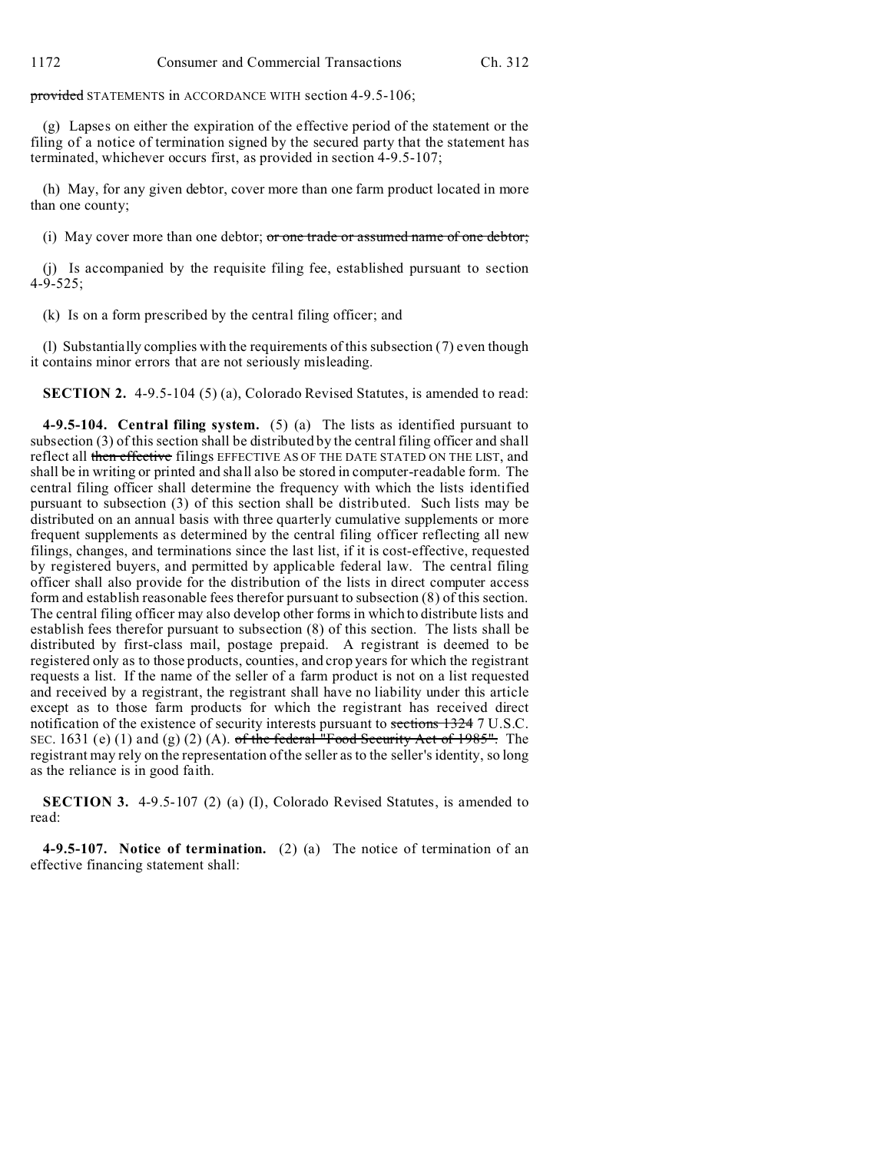provided STATEMENTS in ACCORDANCE WITH section 4-9.5-106;

(g) Lapses on either the expiration of the effective period of the statement or the filing of a notice of termination signed by the secured party that the statement has terminated, whichever occurs first, as provided in section 4-9.5-107;

(h) May, for any given debtor, cover more than one farm product located in more than one county;

(i) May cover more than one debtor; or one trade or assumed name of one debtor;

(j) Is accompanied by the requisite filing fee, established pursuant to section 4-9-525;

(k) Is on a form prescribed by the central filing officer; and

(l) Substantially complies with the requirements of this subsection (7) even though it contains minor errors that are not seriously misleading.

**SECTION 2.** 4-9.5-104 (5) (a), Colorado Revised Statutes, is amended to read:

**4-9.5-104. Central filing system.** (5) (a) The lists as identified pursuant to subsection (3) of this section shall be distributed by the central filing officer and shall reflect all then effective filings EFFECTIVE AS OF THE DATE STATED ON THE LIST, and shall be in writing or printed and shall also be stored in computer-readable form. The central filing officer shall determine the frequency with which the lists identified pursuant to subsection (3) of this section shall be distributed. Such lists may be distributed on an annual basis with three quarterly cumulative supplements or more frequent supplements as determined by the central filing officer reflecting all new filings, changes, and terminations since the last list, if it is cost-effective, requested by registered buyers, and permitted by applicable federal law. The central filing officer shall also provide for the distribution of the lists in direct computer access form and establish reasonable fees therefor pursuant to subsection (8) of this section. The central filing officer may also develop other forms in which to distribute lists and establish fees therefor pursuant to subsection (8) of this section. The lists shall be distributed by first-class mail, postage prepaid. A registrant is deemed to be registered only as to those products, counties, and crop years for which the registrant requests a list. If the name of the seller of a farm product is not on a list requested and received by a registrant, the registrant shall have no liability under this article except as to those farm products for which the registrant has received direct notification of the existence of security interests pursuant to sections 1324 7 U.S.C. SEC. 1631 (e) (1) and (g) (2) (A). of the federal "Food Security Act of 1985". The registrant may rely on the representation of the seller as to the seller's identity, so long as the reliance is in good faith.

**SECTION 3.** 4-9.5-107 (2) (a) (I), Colorado Revised Statutes, is amended to read:

**4-9.5-107. Notice of termination.** (2) (a) The notice of termination of an effective financing statement shall: